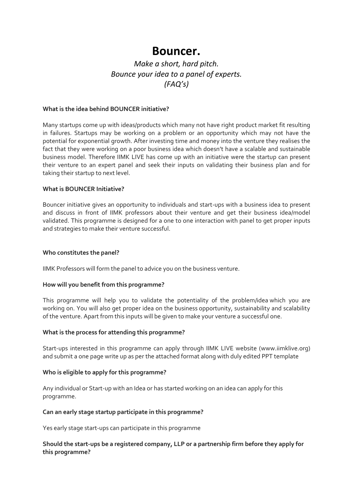# **Bouncer.**

# *Make a short, hard pitch. Bounce your idea to a panel of experts. (FAQ's)*

# **What is the idea behind BOUNCER initiative?**

Many startups come up with ideas/products which many not have right product market fit resulting in failures. Startups may be working on a problem or an opportunity which may not have the potential for exponential growth. After investing time and money into the venture they realises the fact that they were working on a poor business idea which doesn't have a scalable and sustainable business model. Therefore IIMK LIVE has come up with an initiative were the startup can present their venture to an expert panel and seek their inputs on validating their business plan and for taking their startup to next level.

# **What is BOUNCER Initiative?**

Bouncer initiative gives an opportunity to individuals and start-ups with a business idea to present and discuss in front of IIMK professors about their venture and get their business idea/model validated. This programme is designed for a one to one interaction with panel to get proper inputs and strategies to make their venture successful.

#### **Who constitutes the panel?**

IIMK Professors will form the panel to advice you on the business venture.

#### **How will you benefit from this programme?**

This programme will help you to validate the potentiality of the problem/idea which you are working on. You will also get proper idea on the business opportunity, sustainability and scalability of the venture. Apart from this inputs will be given to make your venture a successful one.

#### **What is the process for attending this programme?**

Start-ups interested in this programme can apply through IIMK LIVE website [\(www.iimklive.org\)](http://www.iimklive.org/) and submit a one page write up as per the attached format along with duly edited PPT template

#### **Who is eligible to apply for this programme?**

Any individual or Start-up with an Idea or has started working on an idea can apply for this programme.

#### **Can an early stage startup participate in this programme?**

Yes early stage start-ups can participate in this programme

# **Should the start-ups be a registered company, LLP or a partnership firm before they apply for this programme?**